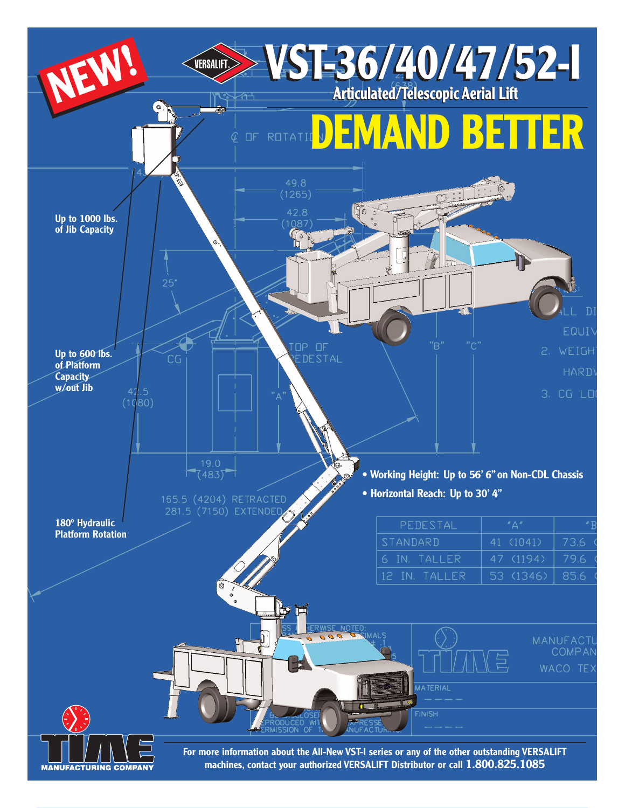